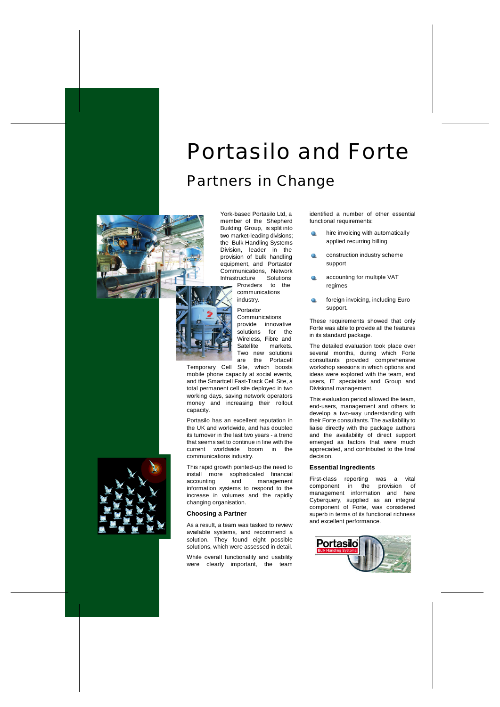# *Portasilo and Forte Partners in Change*



York-based Portasilo Ltd, a member of the Shepherd Building Group, is split into two market-leading divisions; the Bulk Handling Systems Division, leader in the provision of bulk handling equipment, and Portastor Communications, Network Infrastructure Solutions

Providers to the communications industry.



Portastor **Communications** provide innovative solutions for the Wireless, Fibre and Satellite markets. Two new solutions are the Portacell

Temporary Cell Site, which boosts mobile phone capacity at social events, and the Smartcell Fast-Track Cell Site, a total permanent cell site deployed in two working days, saving network operators money and increasing their rollout capacity.

Portasilo has an excellent reputation in the UK and worldwide, and has doubled its turnover in the last two years - a trend that seems set to continue in line with the current worldwide boom in the communications industry.

This rapid growth pointed-up the need to install more sophisticated financial accounting and management information systems to respond to the increase in volumes and the rapidly changing organisation.

# **Choosing a Partner**

As a result, a team was tasked to review available systems*,* and recommend a solution. They found eight possible solutions, which were assessed in detail.

While overall functionality and usability were clearly important, the team identified a number of other essential functional requirements:

- hire invoicing with automatically Q. applied recurring billing
- construction industry scheme support
- accounting for multiple VAT regimes
- foreign invoicing, including Euro support.

These requirements showed that only Forte was able to provide all the features in its standard package.

The detailed evaluation took place over several months, during which Forte consultants provided comprehensive workshop sessions in which options and ideas were explored with the team, end users, IT specialists and Group and Divisional management.

This evaluation period allowed the team, end-users, management and others to develop a two-way understanding with their Forte consultants. The availability to liaise directly with the package authors and the availability of direct support emerged as factors that were much appreciated, and contributed to the final decision.

# **Essential Ingredients**

First-class reporting was a vital component in the provision of management information and here Cyberquery, supplied as an integral component of Forte, was considered superb in terms of its functional richness and excellent performance.